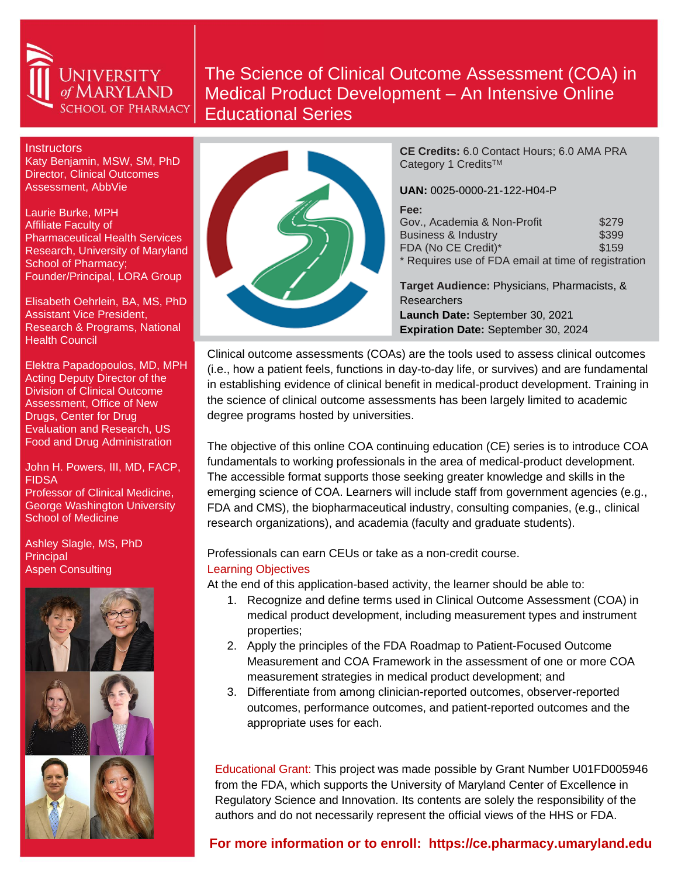

# The Science of Clinical Outcome Assessment (COA) in Medical Product Development – An Intensive Online Educational Series

**Instructors** 

Katy Benjamin, MSW, SM, PhD Director, Clinical Outcomes Assessment, AbbVie

Laurie Burke, MPH Affiliate Faculty of Pharmaceutical Health Services Research, University of Maryland School of Pharmacy; Founder/Principal, LORA Group

Elisabeth Oehrlein, BA, MS, PhD Assistant Vice President, Research & Programs, National Health Council

Elektra Papadopoulos, MD, MPH Acting Deputy Director of the Division of Clinical Outcome Assessment, Office of New Drugs, Center for Drug Evaluation and Research, US Food and Drug Administration

John H. Powers, III, MD, FACP, **FIDSA** Professor of Clinical Medicine, George Washington University School of Medicine

Ashley Slagle, MS, PhD Principal Aspen Consulting





**CE Credits:** 6.0 Contact Hours; 6.0 AMA PRA Category 1 Credits™

**UAN:** 0025-0000-21-122-H04-P

| Fee:                                                |       |
|-----------------------------------------------------|-------|
| Gov., Academia & Non-Profit                         | \$279 |
| <b>Business &amp; Industry</b>                      | \$399 |
| FDA (No CE Credit)*                                 | \$159 |
| * Requires use of FDA email at time of registration |       |

**Target Audience:** Physicians, Pharmacists, & **Researchers Launch Date:** September 30, 2021 **Expiration Date:** September 30, 2024

Clinical outcome assessments (COAs) are the tools used to assess clinical outcomes (i.e., how a patient feels, functions in day-to-day life, or survives) and are fundamental in establishing evidence of clinical benefit in medical-product development. Training in the science of clinical outcome assessments has been largely limited to academic degree programs hosted by universities.

The objective of this online COA continuing education (CE) series is to introduce COA fundamentals to working professionals in the area of medical-product development. The accessible format supports those seeking greater knowledge and skills in the emerging science of COA. Learners will include staff from government agencies (e.g., FDA and CMS), the biopharmaceutical industry, consulting companies, (e.g., clinical research organizations), and academia (faculty and graduate students).

Professionals can earn CEUs or take as a non-credit course. Learning Objectives

At the end of this application-based activity, the learner should be able to:

- 1. Recognize and define terms used in Clinical Outcome Assessment (COA) in medical product development, including measurement types and instrument properties;
- 2. Apply the principles of the FDA Roadmap to Patient-Focused Outcome Measurement and COA Framework in the assessment of one or more COA measurement strategies in medical product development; and
- 3. Differentiate from among clinician-reported outcomes, observer-reported outcomes, performance outcomes, and patient-reported outcomes and the appropriate uses for each.

Educational Grant: This project was made possible by Grant Number U01FD005946 from the FDA, which supports the University of Maryland Center of Excellence in Regulatory Science and Innovation. Its contents are solely the responsibility of the authors and do not necessarily represent the official views of the HHS or FDA.

## **For more information or to enroll: https://ce.pharmacy.umaryland.edu**